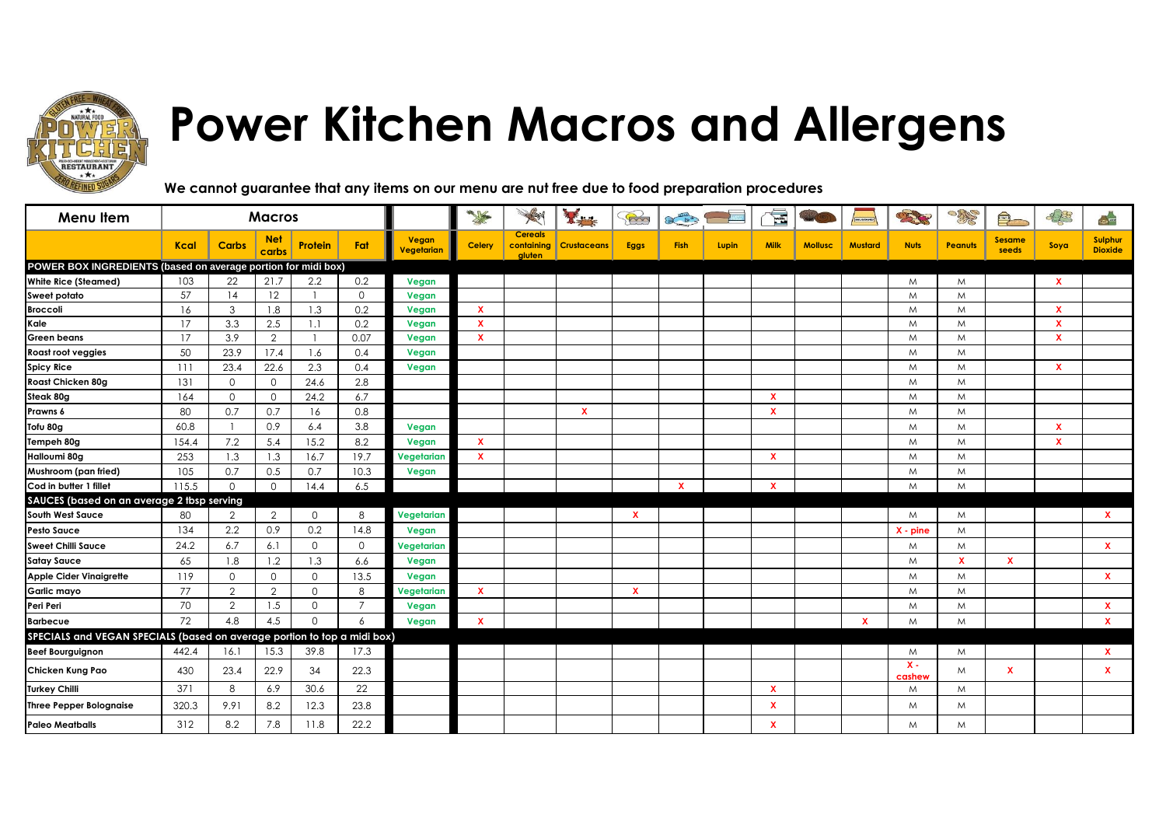

## **Power Kitchen Macros and Allergens**

**We cannot guarantee that any items on our menu are nut free due to food preparation procedures**

| Menu Item                                                                |             |                | <b>Macros</b>       |             |                |                                         |               |                                        | 天津                 | Bo           | $\begin{picture}(120,10) \put(0,0){\line(1,0){10}} \put(15,0){\line(1,0){10}} \put(15,0){\line(1,0){10}} \put(15,0){\line(1,0){10}} \put(15,0){\line(1,0){10}} \put(15,0){\line(1,0){10}} \put(15,0){\line(1,0){10}} \put(15,0){\line(1,0){10}} \put(15,0){\line(1,0){10}} \put(15,0){\line(1,0){10}} \put(15,0){\line(1,0){10}} \put(15,0){\line($ |       | E            |                |                | <b>OBSERV</b>   | <b>SHIP</b>    | $\bigcirc$             | 03                        | $\rightarrow$             |
|--------------------------------------------------------------------------|-------------|----------------|---------------------|-------------|----------------|-----------------------------------------|---------------|----------------------------------------|--------------------|--------------|-----------------------------------------------------------------------------------------------------------------------------------------------------------------------------------------------------------------------------------------------------------------------------------------------------------------------------------------------------|-------|--------------|----------------|----------------|-----------------|----------------|------------------------|---------------------------|---------------------------|
|                                                                          | <b>Kcal</b> | <b>Carbs</b>   | <b>Net</b><br>carbs | Protein     | Fat            | <b>Vegan</b><br><mark>Vegetarian</mark> | <b>Celery</b> | <b>Cereals</b><br>containing<br>aluten | <b>Crustaceans</b> | <b>Eggs</b>  | <b>Fish</b>                                                                                                                                                                                                                                                                                                                                         | Lupin | <b>Milk</b>  | <b>Mollusc</b> | <b>Mustard</b> | <b>Nuts</b>     | <b>Peanuts</b> | <b>Sesame</b><br>seeds | Soya                      | Sulphur<br><b>Dioxide</b> |
| POWER BOX INGREDIENTS (based on average portion for midi box)            |             |                |                     |             |                |                                         |               |                                        |                    |              |                                                                                                                                                                                                                                                                                                                                                     |       |              |                |                |                 |                |                        |                           |                           |
| <b>White Rice (Steamed)</b>                                              | 103         | 22             | 21.7                | 2.2         | 0.2            | Vegan                                   |               |                                        |                    |              |                                                                                                                                                                                                                                                                                                                                                     |       |              |                |                | M               | M              |                        | $\mathbf{x}$              |                           |
| Sweet potato                                                             | 57          | 14             | 12                  |             | $\Omega$       | Vegan                                   |               |                                        |                    |              |                                                                                                                                                                                                                                                                                                                                                     |       |              |                |                | M               | M              |                        |                           |                           |
| <b>Broccoli</b>                                                          | 16          | 3              | 1.8                 | 1.3         | 0.2            | Vegan                                   | $\mathbf x$   |                                        |                    |              |                                                                                                                                                                                                                                                                                                                                                     |       |              |                |                | M               | M              |                        | x                         |                           |
| Kale                                                                     | 17          | 3.3            | 2.5                 | 1.1         | 0.2            | Vegan                                   | $\mathbf{x}$  |                                        |                    |              |                                                                                                                                                                                                                                                                                                                                                     |       |              |                |                | M               | M              |                        | $\boldsymbol{\mathsf{x}}$ |                           |
| Green beans                                                              | 17          | 3.9            | 2                   |             | 0.07           | Vegan                                   | $\mathbf{x}$  |                                        |                    |              |                                                                                                                                                                                                                                                                                                                                                     |       |              |                |                | M               | M              |                        | $\boldsymbol{\mathsf{x}}$ |                           |
| Roast root veggies                                                       | 50          | 23.9           | 17.4                | 1.6         | 0.4            | Vegan                                   |               |                                        |                    |              |                                                                                                                                                                                                                                                                                                                                                     |       |              |                |                | M               | M              |                        |                           |                           |
| <b>Spicy Rice</b>                                                        | 111         | 23.4           | 22.6                | 2.3         | 0.4            | Vegan                                   |               |                                        |                    |              |                                                                                                                                                                                                                                                                                                                                                     |       |              |                |                | M               | M              |                        | $\boldsymbol{\mathsf{x}}$ |                           |
| Roast Chicken 80g                                                        | 131         | $\circ$        | $\circ$             | 24.6        | 2.8            |                                         |               |                                        |                    |              |                                                                                                                                                                                                                                                                                                                                                     |       |              |                |                | M               | M              |                        |                           |                           |
| Steak 80g                                                                | 164         | $\mathbf{0}$   | $\Omega$            | 24.2        | 6.7            |                                         |               |                                        |                    |              |                                                                                                                                                                                                                                                                                                                                                     |       | $\mathbf{x}$ |                |                | M               | M              |                        |                           |                           |
| Prawns 6                                                                 | 80          | 0.7            | 0.7                 | 16          | 0.8            |                                         |               |                                        | $\mathbf{x}$       |              |                                                                                                                                                                                                                                                                                                                                                     |       | $\mathbf x$  |                |                | M               | M              |                        |                           |                           |
| Tofu 80g                                                                 | 60.8        |                | 0.9                 | 6.4         | 3.8            | Vegan                                   |               |                                        |                    |              |                                                                                                                                                                                                                                                                                                                                                     |       |              |                |                | M               | M              |                        | x                         |                           |
| Tempeh 80g                                                               | 154.4       | 7.2            | 5.4                 | 15.2        | 8.2            | Vegan                                   | $\mathbf x$   |                                        |                    |              |                                                                                                                                                                                                                                                                                                                                                     |       |              |                |                | M               | M              |                        | $\mathbf x$               |                           |
| Halloumi 80g                                                             | 253         | 1.3            | 1.3                 | 16.7        | 19.7           | Vegetarian                              | $\mathbf{x}$  |                                        |                    |              |                                                                                                                                                                                                                                                                                                                                                     |       | $\mathbf{x}$ |                |                | M               | M              |                        |                           |                           |
| Mushroom (pan fried)                                                     | 105         | 0.7            | 0.5                 | 0.7         | 10.3           | Vegan                                   |               |                                        |                    |              |                                                                                                                                                                                                                                                                                                                                                     |       |              |                |                | M               | M              |                        |                           |                           |
| Cod in butter 1 fillet                                                   | 115.5       | $\Omega$       | $\Omega$            | 14.4        | 6.5            |                                         |               |                                        |                    |              | $\mathbf{x}$                                                                                                                                                                                                                                                                                                                                        |       | $\mathbf{x}$ |                |                | M               | M              |                        |                           |                           |
| SAUCES (based on an average 2 tbsp serving                               |             |                |                     |             |                |                                         |               |                                        |                    |              |                                                                                                                                                                                                                                                                                                                                                     |       |              |                |                |                 |                |                        |                           |                           |
| South West Sauce                                                         | 80          | $\overline{2}$ | $\overline{2}$      | 0           | 8              | Vegetarian                              |               |                                        |                    | $\mathbf x$  |                                                                                                                                                                                                                                                                                                                                                     |       |              |                |                | M               | M              |                        |                           | $\mathbf{x}$              |
| <b>Pesto Sauce</b>                                                       | 134         | $2.2\,$        | 0.9                 | 0.2         | 14.8           | Vegan                                   |               |                                        |                    |              |                                                                                                                                                                                                                                                                                                                                                     |       |              |                |                | $X - pine$      | M              |                        |                           |                           |
| <b>Sweet Chilli Sauce</b>                                                | 24.2        | 6.7            | 6.1                 | $\mathbf 0$ | $\mathbf 0$    | Vegetarian                              |               |                                        |                    |              |                                                                                                                                                                                                                                                                                                                                                     |       |              |                |                | M               | M              |                        |                           | $\mathbf{x}$              |
| <b>Satay Sauce</b>                                                       | 65          | 1.8            | 1.2                 | 1.3         | 6.6            | Vegan                                   |               |                                        |                    |              |                                                                                                                                                                                                                                                                                                                                                     |       |              |                |                | M               | $\mathbf{x}$   | $\mathbf x$            |                           |                           |
| <b>Apple Cider Vinaigrette</b>                                           | 119         | $\circ$        | $\circ$             | 0           | 13.5           | Vegan                                   |               |                                        |                    |              |                                                                                                                                                                                                                                                                                                                                                     |       |              |                |                | M               | M              |                        |                           | $\mathbf{x}$              |
| Garlic mayo                                                              | 77          | $\overline{2}$ | $\overline{2}$      | 0           | 8              | Vegetarian                              | $\mathbf{x}$  |                                        |                    | $\mathbf{x}$ |                                                                                                                                                                                                                                                                                                                                                     |       |              |                |                | M               | M              |                        |                           |                           |
| Peri Peri                                                                | 70          | $\overline{2}$ | 1.5                 | 0           | $\overline{7}$ | Vegan                                   |               |                                        |                    |              |                                                                                                                                                                                                                                                                                                                                                     |       |              |                |                | M               | M              |                        |                           | x                         |
| <b>Barbecue</b>                                                          | 72          | 4.8            | 4.5                 | $\Omega$    | $\overline{6}$ | Vegan                                   | $\mathbf x$   |                                        |                    |              |                                                                                                                                                                                                                                                                                                                                                     |       |              |                | $\mathbf x$    | M               | M              |                        |                           | <b>x</b>                  |
| SPECIALS and VEGAN SPECIALS (based on average portion to top a midi box) |             |                |                     |             |                |                                         |               |                                        |                    |              |                                                                                                                                                                                                                                                                                                                                                     |       |              |                |                |                 |                |                        |                           |                           |
| <b>Beef Bourguignon</b>                                                  | 442.4       | 16.1           | 15.3                | 39.8        | 17.3           |                                         |               |                                        |                    |              |                                                                                                                                                                                                                                                                                                                                                     |       |              |                |                | M               | M              |                        |                           | x                         |
| Chicken Kung Pao                                                         | 430         | 23.4           | 22.9                | 34          | 22.3           |                                         |               |                                        |                    |              |                                                                                                                                                                                                                                                                                                                                                     |       |              |                |                | $X -$<br>cashew | M              | $\mathbf{x}$           |                           | <b>X</b>                  |
| <b>Turkey Chilli</b>                                                     | 371         | 8              | 6.9                 | 30.6        | 22             |                                         |               |                                        |                    |              |                                                                                                                                                                                                                                                                                                                                                     |       | $\mathbf{x}$ |                |                | M               | M              |                        |                           |                           |
| <b>Three Pepper Bolognaise</b>                                           | 320.3       | 9.91           | 8.2                 | 12.3        | 23.8           |                                         |               |                                        |                    |              |                                                                                                                                                                                                                                                                                                                                                     |       | X            |                |                | M               | M              |                        |                           |                           |
| <b>Paleo Meatballs</b>                                                   | 312         | 8.2            | 7.8                 | 11.8        | 22.2           |                                         |               |                                        |                    |              |                                                                                                                                                                                                                                                                                                                                                     |       | X            |                |                | M               | M              |                        |                           |                           |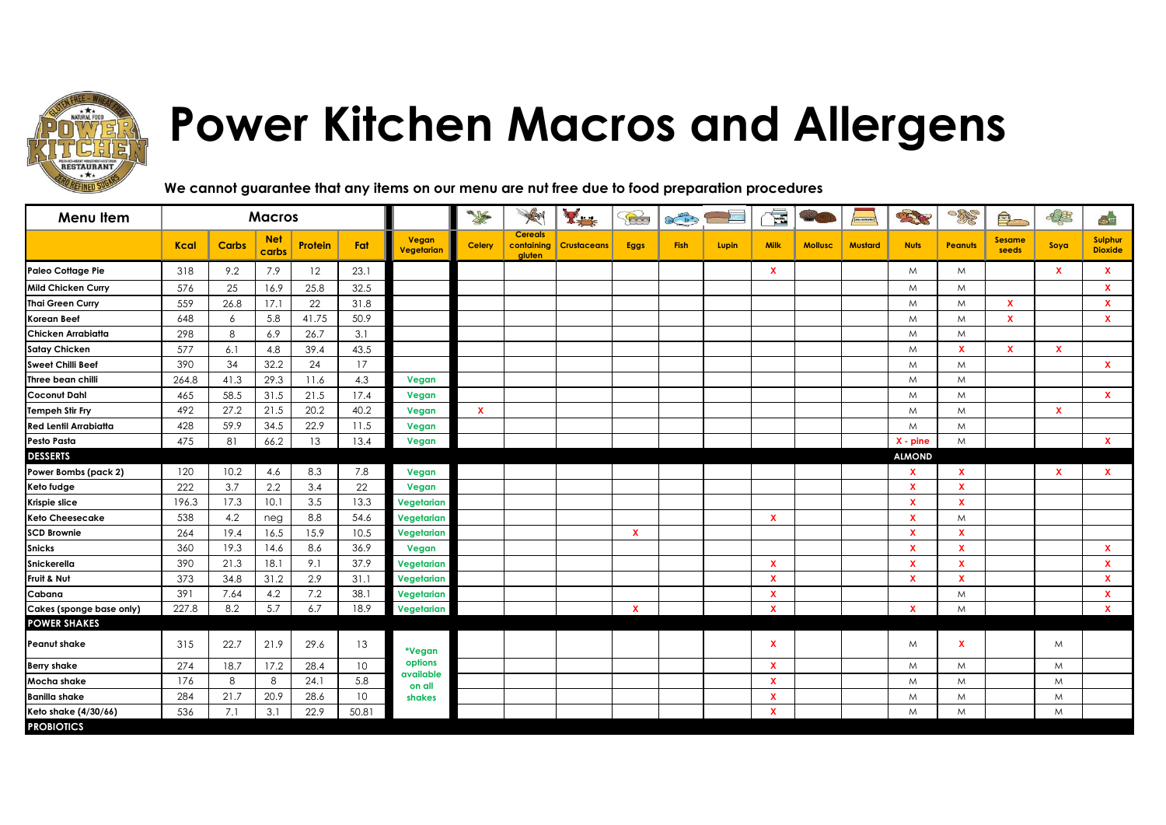

## **Power Kitchen Macros and Allergens**

**We cannot guarantee that any items on our menu are nut free due to food preparation procedures**

| Menu Item                    |             |              | <b>Macros</b>       |                |                 |                     | <b>The Contract of Street</b> | A                                      | 番                  | B            | $\frac{1}{\sqrt{1-\frac{1}{\sqrt{3}}}}$ |       | é                         |                | <b>MUSILING</b> | <b>CENTER</b> | <b>OBLES</b>              | $\bigcirc$             | S.                        | $\leq$                    |
|------------------------------|-------------|--------------|---------------------|----------------|-----------------|---------------------|-------------------------------|----------------------------------------|--------------------|--------------|-----------------------------------------|-------|---------------------------|----------------|-----------------|---------------|---------------------------|------------------------|---------------------------|---------------------------|
|                              | <b>Kcal</b> | <b>Carbs</b> | <b>Net</b><br>carbs | <b>Protein</b> | Fat             | Vegan<br>Vegetarian | Celery                        | <b>Cereals</b><br>containing<br>gluten | <b>Crustaceans</b> | <b>Eggs</b>  | <b>Fish</b>                             | Lupin | <b>Milk</b>               | <b>Mollusc</b> | <b>Mustard</b>  | <b>Nuts</b>   | <b>Peanuts</b>            | <b>Sesame</b><br>seeds | Soya                      | Sulphur<br><b>Dioxide</b> |
| <b>Paleo Cottage Pie</b>     | 318         | 9.2          | 7.9                 | 12             | 23.1            |                     |                               |                                        |                    |              |                                         |       | $\mathbf x$               |                |                 | M             | M                         |                        | $\mathbf x$               | <b>X</b>                  |
| <b>Mild Chicken Curry</b>    | 576         | 25           | 16.9                | 25.8           | 32.5            |                     |                               |                                        |                    |              |                                         |       |                           |                |                 | M             | M                         |                        |                           | x                         |
| <b>Thai Green Curry</b>      | 559         | 26.8         | 17.1                | 22             | 31.8            |                     |                               |                                        |                    |              |                                         |       |                           |                |                 | M             | M                         | $\mathbf x$            |                           | <b>X</b>                  |
| <b>Korean Beef</b>           | 648         | 6            | 5.8                 | 41.75          | 50.9            |                     |                               |                                        |                    |              |                                         |       |                           |                |                 | M             | M                         | $\mathbf x$            |                           | <b>X</b>                  |
| Chicken Arrabiatta           | 298         | 8            | 6.9                 | 26.7           | 3.1             |                     |                               |                                        |                    |              |                                         |       |                           |                |                 | M             | M                         |                        |                           |                           |
| <b>Satay Chicken</b>         | 577         | 6.1          | 4.8                 | 39.4           | 43.5            |                     |                               |                                        |                    |              |                                         |       |                           |                |                 | M             | $\mathbf{x}$              | $\mathbf{x}$           | $\mathbf x$               |                           |
| <b>Sweet Chilli Beef</b>     | 390         | 34           | 32.2                | 24             | 17              |                     |                               |                                        |                    |              |                                         |       |                           |                |                 | M             | M                         |                        |                           | <b>X</b>                  |
| Three bean chilli            | 264.8       | 41.3         | 29.3                | 11.6           | 4.3             | Vegan               |                               |                                        |                    |              |                                         |       |                           |                |                 | M             | M                         |                        |                           |                           |
| <b>Coconut Dahl</b>          | 465         | 58.5         | 31.5                | 21.5           | 17.4            | Vegan               |                               |                                        |                    |              |                                         |       |                           |                |                 | M             | M                         |                        |                           | x                         |
| <b>Tempeh Stir Fry</b>       | 492         | 27.2         | 21.5                | 20.2           | 40.2            | Vegan               | $\mathbf{x}$                  |                                        |                    |              |                                         |       |                           |                |                 | M             | M                         |                        | $\boldsymbol{\mathsf{x}}$ |                           |
| <b>Red Lentil Arrabiatta</b> | 428         | 59.9         | 34.5                | 22.9           | 11.5            | Vegan               |                               |                                        |                    |              |                                         |       |                           |                |                 | M             | M                         |                        |                           |                           |
| Pesto Pasta                  | 475         | 81           | 66.2                | 13             | 13.4            | Vegan               |                               |                                        |                    |              |                                         |       |                           |                |                 | $X - pine$    | M                         |                        |                           | $\mathbf{x}$              |
| <b>DESSERTS</b>              |             |              |                     |                |                 |                     |                               |                                        |                    |              |                                         |       |                           |                |                 | <b>ALMOND</b> |                           |                        |                           |                           |
| Power Bombs (pack 2)         | 120         | 10.2         | 4.6                 | 8.3            | 7.8             | Vegan               |                               |                                        |                    |              |                                         |       |                           |                |                 | X             | $\mathbf x$               |                        | $\mathbf x$               | x                         |
| Keto fudge                   | 222         | 3.7          | 2.2                 | 3.4            | 22              | Vegan               |                               |                                        |                    |              |                                         |       |                           |                |                 | X             | $\mathbf x$               |                        |                           |                           |
| Krispie slice                | 196.3       | 17.3         | 10.1                | 3.5            | 13.3            | Vegetarian          |                               |                                        |                    |              |                                         |       |                           |                |                 | $\mathbf x$   | $\boldsymbol{\mathsf{x}}$ |                        |                           |                           |
| <b>Keto Cheesecake</b>       | 538         | 4.2          | neg                 | 8.8            | 54.6            | Vegetarian          |                               |                                        |                    |              |                                         |       | $\mathbf x$               |                |                 | X             | M                         |                        |                           |                           |
| <b>SCD Brownie</b>           | 264         | 19.4         | 16.5                | 15.9           | 10.5            | Vegetarian          |                               |                                        |                    | $\mathbf{x}$ |                                         |       |                           |                |                 | X             | $\mathbf{x}$              |                        |                           |                           |
| <b>Snicks</b>                | 360         | 19.3         | 14.6                | 8.6            | 36.9            | Vegan               |                               |                                        |                    |              |                                         |       |                           |                |                 | $\mathbf x$   | $\mathbf x$               |                        |                           | <b>X</b>                  |
| <b>Snickerella</b>           | 390         | 21.3         | 18.1                | 9.1            | 37.9            | Vegetarian          |                               |                                        |                    |              |                                         |       | $\boldsymbol{\mathsf{x}}$ |                |                 | $\mathbf{x}$  | $\mathbf x$               |                        |                           | $\mathbf{x}$              |
| Fruit & Nut                  | 373         | 34.8         | 31.2                | 2.9            | 31.1            | Vegetarian          |                               |                                        |                    |              |                                         |       | $\boldsymbol{\mathsf{x}}$ |                |                 | X             | $\boldsymbol{\mathsf{x}}$ |                        |                           | <b>X</b>                  |
| Cabana                       | 391         | 7.64         | 4.2                 | 7.2            | 38.1            | Vegetarian          |                               |                                        |                    |              |                                         |       | $\mathbf{x}$              |                |                 |               | M                         |                        |                           | <b>X</b>                  |
| Cakes (sponge base only)     | 227.8       | 8.2          | 5.7                 | 6.7            | 18.9            | Vegetarian          |                               |                                        |                    | $\mathbf{x}$ |                                         |       | $\mathbf{x}$              |                |                 | $\mathbf{x}$  | M                         |                        |                           | $\mathbf{x}$              |
| <b>POWER SHAKES</b>          |             |              |                     |                |                 |                     |                               |                                        |                    |              |                                         |       |                           |                |                 |               |                           |                        |                           |                           |
| <b>Peanut shake</b>          | 315         | 22.7         | 21.9                | 29.6           | 13              | *Vegan              |                               |                                        |                    |              |                                         |       | $\mathbf x$               |                |                 | M             | $\mathbf{x}$              |                        | M                         |                           |
| <b>Berry shake</b>           | 274         | 18.7         | 17.2                | 28.4           | 10 <sup>°</sup> | options             |                               |                                        |                    |              |                                         |       | X                         |                |                 | M             | M                         |                        | M                         |                           |
| Mocha shake                  | 176         | 8            | 8                   | 24.1           | 5.8             | available<br>on all |                               |                                        |                    |              |                                         |       | $\boldsymbol{\mathsf{x}}$ |                |                 | M             | M                         |                        | M                         |                           |
| <b>Banilla shake</b>         | 284         | 21.7         | 20.9                | 28.6           | 10              | shakes              |                               |                                        |                    |              |                                         |       | X                         |                |                 | M             | M                         |                        | M                         |                           |
| Keto shake (4/30/66)         | 536         | 7.1          | 3.1                 | 22.9           | 50.81           |                     |                               |                                        |                    |              |                                         |       | $\mathbf x$               |                |                 | M             | M                         |                        | M                         |                           |
| <b>PROBIOTICS</b>            |             |              |                     |                |                 |                     |                               |                                        |                    |              |                                         |       |                           |                |                 |               |                           |                        |                           |                           |